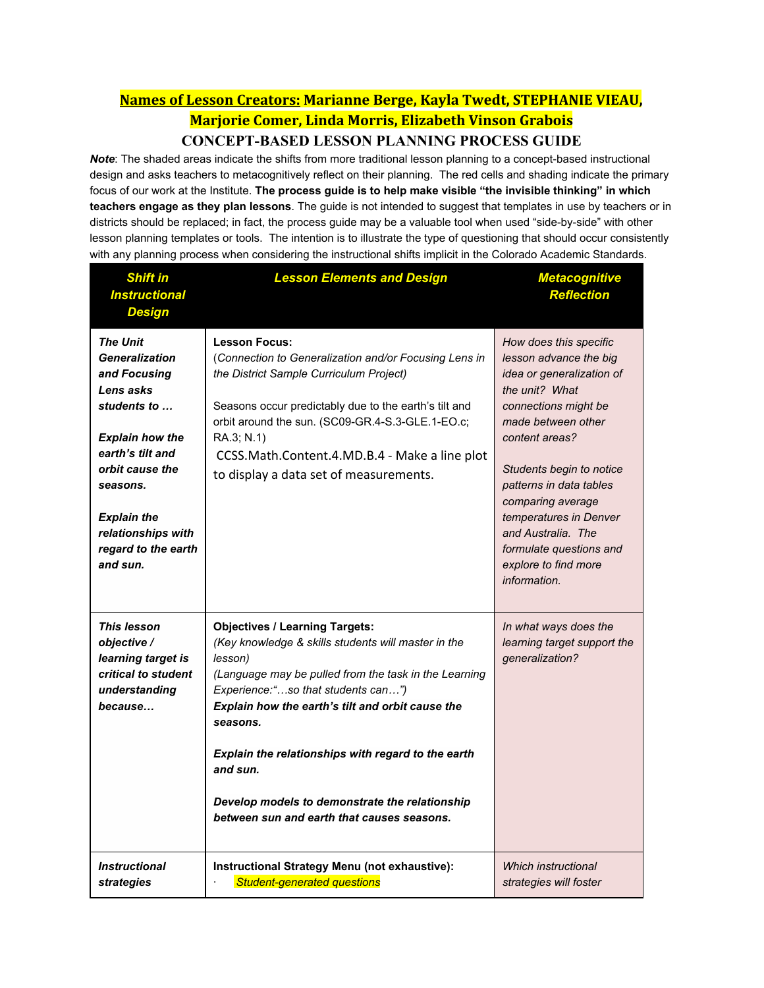## **Names of Lesson Creators: Marianne Berge, Kayla Twedt, STEPHANIE VIEAU, Marjorie Comer, Linda Morris, Elizabeth Vinson Grabois**

#### **CONCEPT-BASED LESSON PLANNING PROCESS GUIDE**

 *Note*: The shaded areas indicate the shifts from more traditional lesson planning to a concept-based instructional design and asks teachers to metacognitively reflect on their planning. The red cells and shading indicate the primary focus of our work at the Institute. **The process guide is to help make visible "the invisible thinking" in which teachers engage as they plan lessons**. The guide is not intended to suggest that templates in use by teachers or in districts should be replaced; in fact, the process guide may be a valuable tool when used "side-by-side" with other lesson planning templates or tools. The intention is to illustrate the type of questioning that should occur consistently with any planning process when considering the instructional shifts implicit in the Colorado Academic Standards.

| <b>Shift in</b><br><b>Instructional</b><br><b>Design</b>                                                                                                                                                                                         | <b>Lesson Elements and Design</b>                                                                                                                                                                                                                                                                                                                                                                                                        | <b>Metacognitive</b><br><b>Reflection</b>                                                                                                                                                                                                                                                                                                                      |
|--------------------------------------------------------------------------------------------------------------------------------------------------------------------------------------------------------------------------------------------------|------------------------------------------------------------------------------------------------------------------------------------------------------------------------------------------------------------------------------------------------------------------------------------------------------------------------------------------------------------------------------------------------------------------------------------------|----------------------------------------------------------------------------------------------------------------------------------------------------------------------------------------------------------------------------------------------------------------------------------------------------------------------------------------------------------------|
| <b>The Unit</b><br><b>Generalization</b><br>and Focusing<br>Lens asks<br>students to<br><b>Explain how the</b><br>earth's tilt and<br>orbit cause the<br>seasons.<br><b>Explain the</b><br>relationships with<br>regard to the earth<br>and sun. | <b>Lesson Focus:</b><br>(Connection to Generalization and/or Focusing Lens in<br>the District Sample Curriculum Project)<br>Seasons occur predictably due to the earth's tilt and<br>orbit around the sun. (SC09-GR.4-S.3-GLE.1-EO.c;<br>RA.3; N.1)<br>CCSS.Math.Content.4.MD.B.4 - Make a line plot<br>to display a data set of measurements.                                                                                           | How does this specific<br>lesson advance the big<br>idea or generalization of<br>the unit? What<br>connections might be<br>made between other<br>content areas?<br>Students begin to notice<br>patterns in data tables<br>comparing average<br>temperatures in Denver<br>and Australia. The<br>formulate questions and<br>explore to find more<br>information. |
| <b>This lesson</b><br>objective /<br>learning target is<br>critical to student<br>understanding<br>because                                                                                                                                       | <b>Objectives / Learning Targets:</b><br>(Key knowledge & skills students will master in the<br>lesson)<br>(Language may be pulled from the task in the Learning<br>Experience:"so that students can")<br>Explain how the earth's tilt and orbit cause the<br>seasons.<br>Explain the relationships with regard to the earth<br>and sun.<br>Develop models to demonstrate the relationship<br>between sun and earth that causes seasons. | In what ways does the<br>learning target support the<br>generalization?                                                                                                                                                                                                                                                                                        |
| <b>Instructional</b><br>strategies                                                                                                                                                                                                               | Instructional Strategy Menu (not exhaustive):<br><b>Student-generated questions</b>                                                                                                                                                                                                                                                                                                                                                      | Which instructional<br>strategies will foster                                                                                                                                                                                                                                                                                                                  |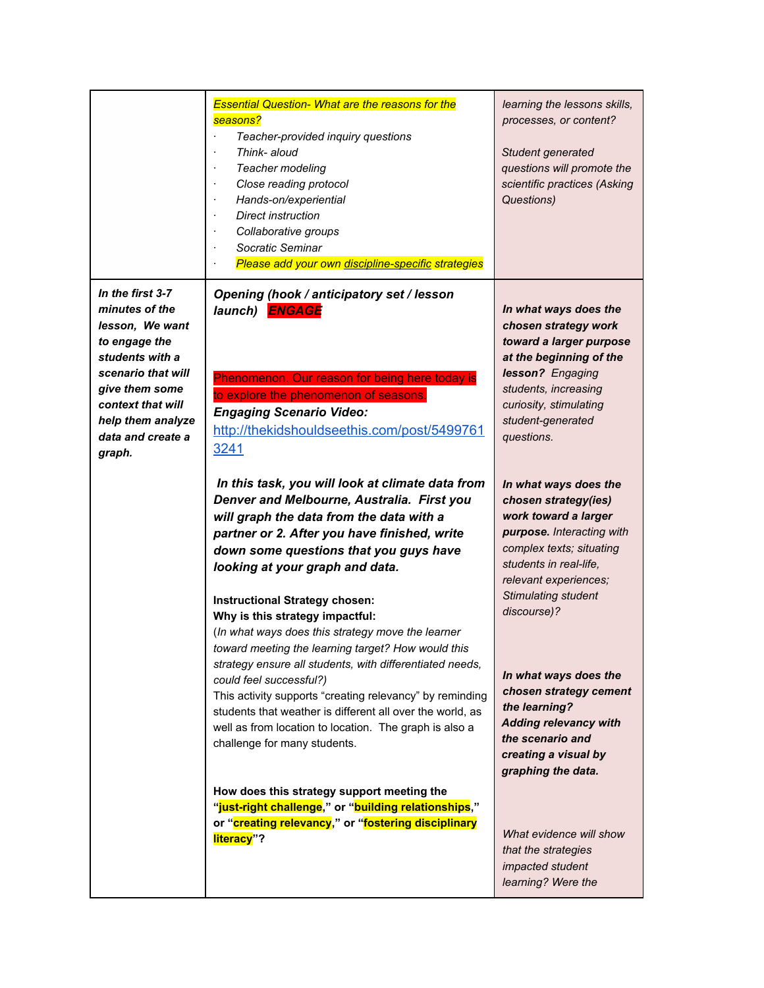|                                                                                                                                                                                                            | <b>Essential Question- What are the reasons for the</b><br>seasons?<br>Teacher-provided inquiry questions<br>Think- aloud<br>Teacher modeling<br>Close reading protocol<br>Hands-on/experiential<br>Direct instruction<br>Collaborative groups<br>Socratic Seminar<br>Please add your own discipline-specific strategies                                                                                                                                                                                                                                                                                                                                                                                                                 | learning the lessons skills,<br>processes, or content?<br>Student generated<br>questions will promote the<br>scientific practices (Asking<br>Questions)                                                                                                                                                                                         |
|------------------------------------------------------------------------------------------------------------------------------------------------------------------------------------------------------------|------------------------------------------------------------------------------------------------------------------------------------------------------------------------------------------------------------------------------------------------------------------------------------------------------------------------------------------------------------------------------------------------------------------------------------------------------------------------------------------------------------------------------------------------------------------------------------------------------------------------------------------------------------------------------------------------------------------------------------------|-------------------------------------------------------------------------------------------------------------------------------------------------------------------------------------------------------------------------------------------------------------------------------------------------------------------------------------------------|
| In the first 3-7<br>minutes of the<br>lesson, We want<br>to engage the<br>students with a<br>scenario that will<br>give them some<br>context that will<br>help them analyze<br>data and create a<br>graph. | Opening (hook / anticipatory set / lesson<br>launch) <b>ENGAGE</b><br>Phenomenon. Our reason for being here today is<br>to explore the phenomenon of seasons.<br><b>Engaging Scenario Video:</b><br>http://thekidshouldseethis.com/post/5499761<br>3241                                                                                                                                                                                                                                                                                                                                                                                                                                                                                  | In what ways does the<br>chosen strategy work<br>toward a larger purpose<br>at the beginning of the<br>lesson? Engaging<br>students, increasing<br>curiosity, stimulating<br>student-generated<br>questions.                                                                                                                                    |
|                                                                                                                                                                                                            | In this task, you will look at climate data from<br>Denver and Melbourne, Australia. First you<br>will graph the data from the data with a<br>partner or 2. After you have finished, write<br>down some questions that you guys have<br>looking at your graph and data.<br><b>Instructional Strategy chosen:</b><br>Why is this strategy impactful:<br>(In what ways does this strategy move the learner<br>toward meeting the learning target? How would this<br>strategy ensure all students, with differentiated needs,<br>could feel successful?)<br>This activity supports "creating relevancy" by reminding<br>students that weather is different all over the world, as<br>well as from location to location. The graph is also a | In what ways does the<br>chosen strategy(ies)<br>work toward a larger<br>purpose. Interacting with<br>complex texts; situating<br>students in real-life,<br>relevant experiences;<br>Stimulating student<br>discourse)?<br>In what ways does the<br>chosen strategy cement<br>the learning?<br><b>Adding relevancy with</b><br>the scenario and |
|                                                                                                                                                                                                            | challenge for many students.<br>How does this strategy support meeting the<br>"just-right challenge," or "building relationships,"<br>or "creating relevancy," or "fostering disciplinary<br>literacy"?                                                                                                                                                                                                                                                                                                                                                                                                                                                                                                                                  | creating a visual by<br>graphing the data.<br>What evidence will show<br>that the strategies<br>impacted student<br>learning? Were the                                                                                                                                                                                                          |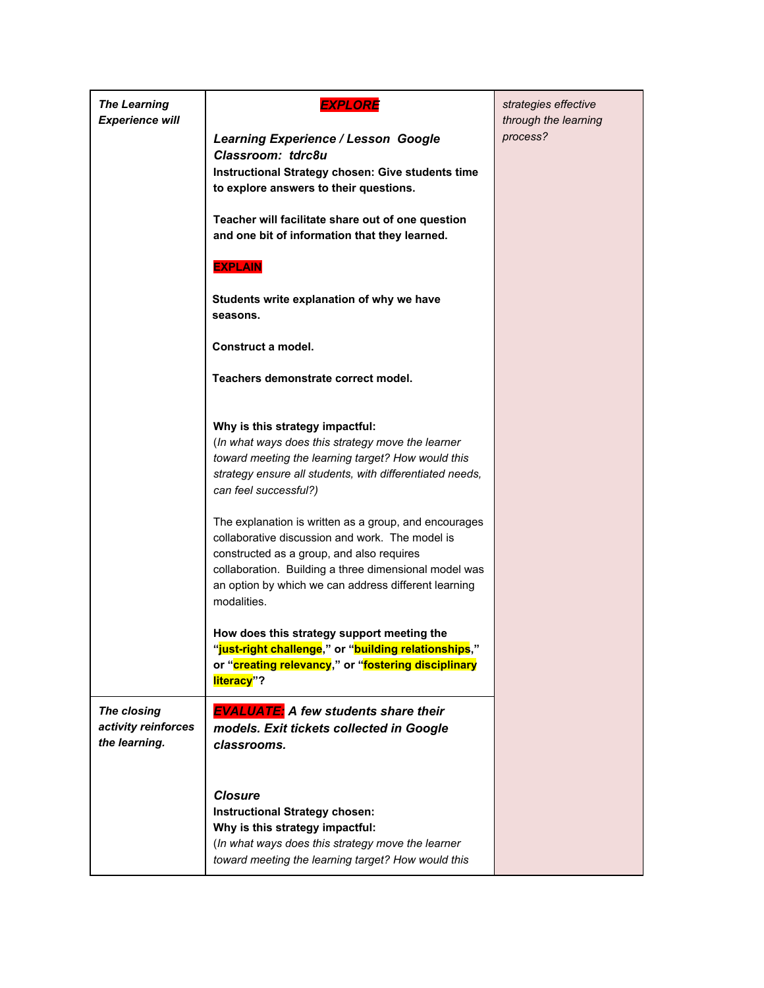| <b>The Learning</b><br><b>Experience will</b> | <b>EXPLORE</b>                                                                                                 | strategies effective<br>through the learning |
|-----------------------------------------------|----------------------------------------------------------------------------------------------------------------|----------------------------------------------|
|                                               | <b>Learning Experience / Lesson Google</b><br>Classroom: tdrc8u                                                | process?                                     |
|                                               | Instructional Strategy chosen: Give students time                                                              |                                              |
|                                               | to explore answers to their questions.                                                                         |                                              |
|                                               | Teacher will facilitate share out of one question                                                              |                                              |
|                                               | and one bit of information that they learned.                                                                  |                                              |
|                                               | <b>EXPLAIN</b>                                                                                                 |                                              |
|                                               | Students write explanation of why we have                                                                      |                                              |
|                                               | seasons.                                                                                                       |                                              |
|                                               | Construct a model.                                                                                             |                                              |
|                                               | Teachers demonstrate correct model.                                                                            |                                              |
|                                               |                                                                                                                |                                              |
|                                               | Why is this strategy impactful:                                                                                |                                              |
|                                               | (In what ways does this strategy move the learner                                                              |                                              |
|                                               | toward meeting the learning target? How would this<br>strategy ensure all students, with differentiated needs, |                                              |
|                                               | can feel successful?)                                                                                          |                                              |
|                                               | The explanation is written as a group, and encourages                                                          |                                              |
|                                               | collaborative discussion and work. The model is                                                                |                                              |
|                                               | constructed as a group, and also requires                                                                      |                                              |
|                                               | collaboration. Building a three dimensional model was<br>an option by which we can address different learning  |                                              |
|                                               | modalities.                                                                                                    |                                              |
|                                               | How does this strategy support meeting the                                                                     |                                              |
|                                               | "just-right challenge," or "building relationships,"                                                           |                                              |
|                                               | or "creating relevancy," or "fostering disciplinary<br>literacy"?                                              |                                              |
| The closing                                   | <b>EVALUATE:</b> A few students share their                                                                    |                                              |
| activity reinforces                           | models. Exit tickets collected in Google                                                                       |                                              |
| the learning.                                 | classrooms.                                                                                                    |                                              |
|                                               |                                                                                                                |                                              |
|                                               | <b>Closure</b>                                                                                                 |                                              |
|                                               | <b>Instructional Strategy chosen:</b>                                                                          |                                              |
|                                               | Why is this strategy impactful:<br>(In what ways does this strategy move the learner                           |                                              |
|                                               | toward meeting the learning target? How would this                                                             |                                              |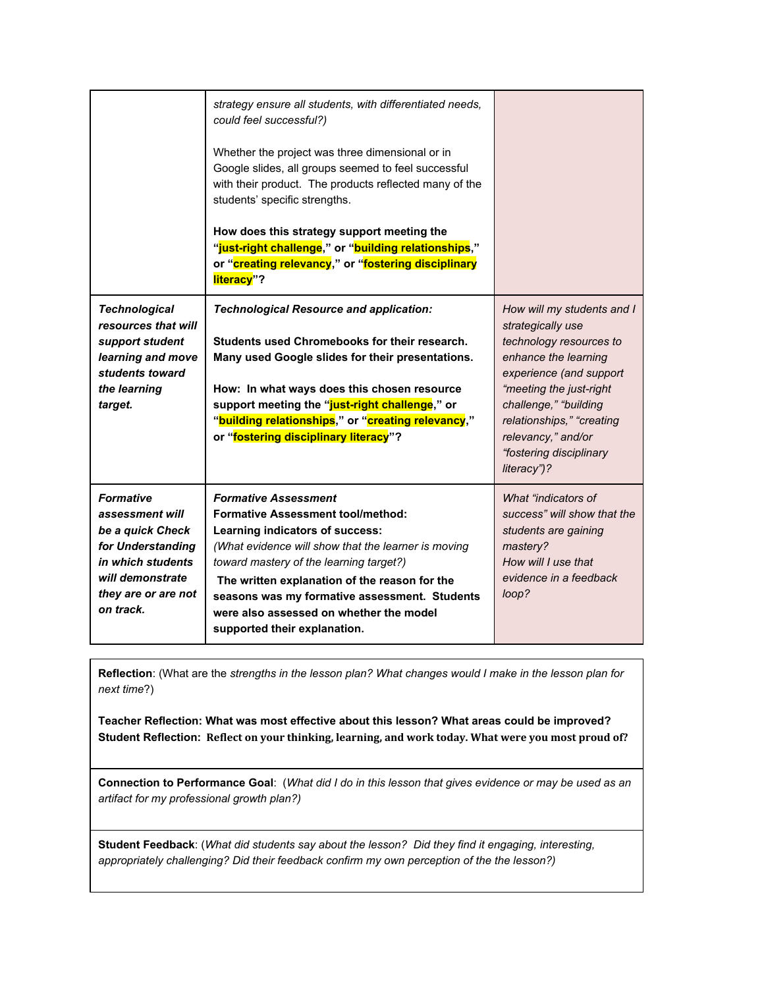|                                                                                                                                                           | strategy ensure all students, with differentiated needs,<br>could feel successful?)<br>Whether the project was three dimensional or in<br>Google slides, all groups seemed to feel successful<br>with their product. The products reflected many of the<br>students' specific strengths.<br>How does this strategy support meeting the<br>"just-right challenge," or "building relationships,"<br>or "creating relevancy," or "fostering disciplinary<br>literacy"? |                                                                                                                                                                                                                                                                                |
|-----------------------------------------------------------------------------------------------------------------------------------------------------------|---------------------------------------------------------------------------------------------------------------------------------------------------------------------------------------------------------------------------------------------------------------------------------------------------------------------------------------------------------------------------------------------------------------------------------------------------------------------|--------------------------------------------------------------------------------------------------------------------------------------------------------------------------------------------------------------------------------------------------------------------------------|
| <b>Technological</b><br>resources that will<br>support student<br>learning and move<br>students toward<br>the learning<br>target.                         | <b>Technological Resource and application:</b><br>Students used Chromebooks for their research.<br>Many used Google slides for their presentations.<br>How: In what ways does this chosen resource<br>support meeting the "just-right challenge," or<br>"building relationships," or "creating relevancy,"<br>or "fostering disciplinary literacy"?                                                                                                                 | How will my students and I<br>strategically use<br>technology resources to<br>enhance the learning<br>experience (and support<br>"meeting the just-right<br>challenge," "building<br>relationships," "creating<br>relevancy," and/or<br>"fostering disciplinary<br>literacy")? |
| <b>Formative</b><br>assessment will<br>be a quick Check<br>for Understanding<br>in which students<br>will demonstrate<br>they are or are not<br>on track. | <b>Formative Assessment</b><br><b>Formative Assessment tool/method:</b><br>Learning indicators of success:<br>(What evidence will show that the learner is moving<br>toward mastery of the learning target?)<br>The written explanation of the reason for the<br>seasons was my formative assessment. Students<br>were also assessed on whether the model<br>supported their explanation.                                                                           | What "indicators of<br>success" will show that the<br>students are gaining<br>mastery?<br>How will I use that<br>evidence in a feedback<br>loop?                                                                                                                               |

**Reflection**: (What are the *strengths in the lesson plan? What changes would I make in the lesson plan for next time*?)

**Teacher Reflection: What was most effective about this lesson? What areas could be improved? Student Reflection: Reflect on your thinking, learning, and work today. What were you most proud of?**

**Connection to Performance Goal**: (*What did I do in this lesson that gives evidence or may be used as an artifact for my professional growth plan?)*

**Student Feedback**: (*What did students say about the lesson? Did they find it engaging, interesting, appropriately challenging? Did their feedback confirm my own perception of the the lesson?)*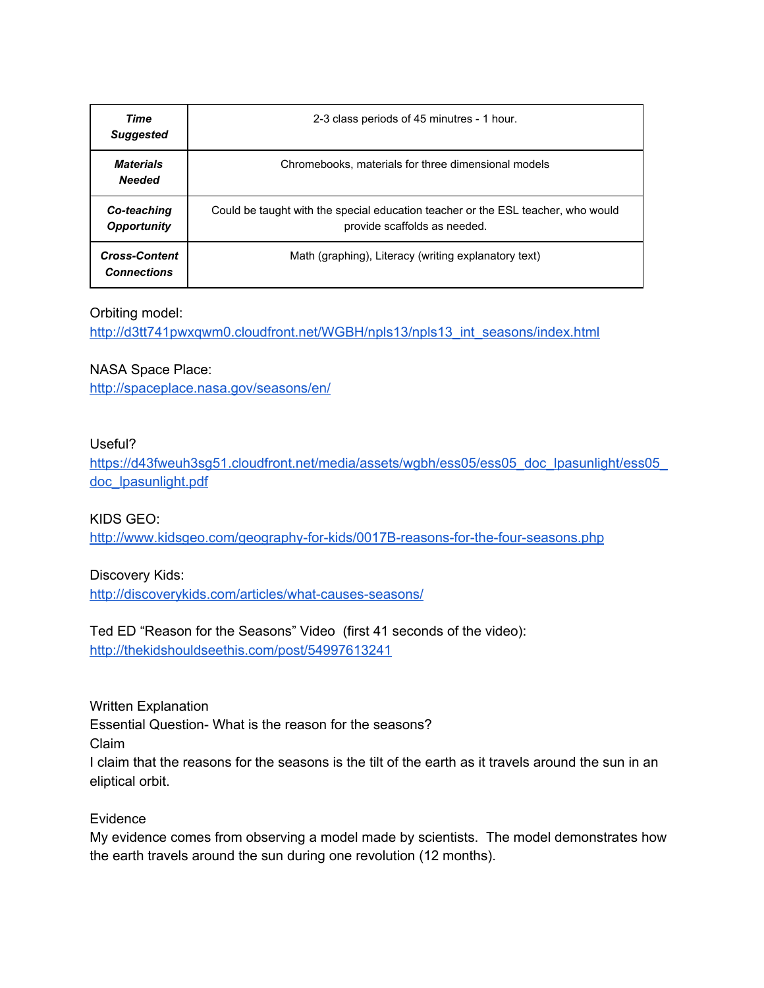| Time<br><b>Suggested</b>                   | 2-3 class periods of 45 minutres - 1 hour.                                                                       |
|--------------------------------------------|------------------------------------------------------------------------------------------------------------------|
| <b>Materials</b><br><b>Needed</b>          | Chromebooks, materials for three dimensional models                                                              |
| Co-teaching<br><b>Opportunity</b>          | Could be taught with the special education teacher or the ESL teacher, who would<br>provide scaffolds as needed. |
| <b>Cross-Content</b><br><b>Connections</b> | Math (graphing), Literacy (writing explanatory text)                                                             |

#### Orbiting model:

[http://d3tt741pwxqwm0.cloudfront.net/WGBH/npls13/npls13\\_int\\_seasons/index.html](http://d3tt741pwxqwm0.cloudfront.net/WGBH/npls13/npls13_int_seasons/index.html)

#### NASA Space Place:

<http://spaceplace.nasa.gov/seasons/en/>

#### Useful?

https://d43fweuh3sg51.cloudfront.net/media/assets/wgbh/ess05/ess05\_doc\_lpasunlight/ess05 [doc\\_lpasunlight.pdf](https://d43fweuh3sg51.cloudfront.net/media/assets/wgbh/ess05/ess05_doc_lpasunlight/ess05_doc_lpasunlight.pdf)

#### KIDS GEO:

<http://www.kidsgeo.com/geography-for-kids/0017B-reasons-for-the-four-seasons.php>

#### Discovery Kids:

<http://discoverykids.com/articles/what-causes-seasons/>

# Ted ED "Reason for the Seasons" Video (first 41 seconds of the video):

<http://thekidshouldseethis.com/post/54997613241>

Written Explanation Essential Question- What is the reason for the seasons? Claim I claim that the reasons for the seasons is the tilt of the earth as it travels around the sun in an eliptical orbit.

#### Evidence

My evidence comes from observing a model made by scientists. The model demonstrates how the earth travels around the sun during one revolution (12 months).